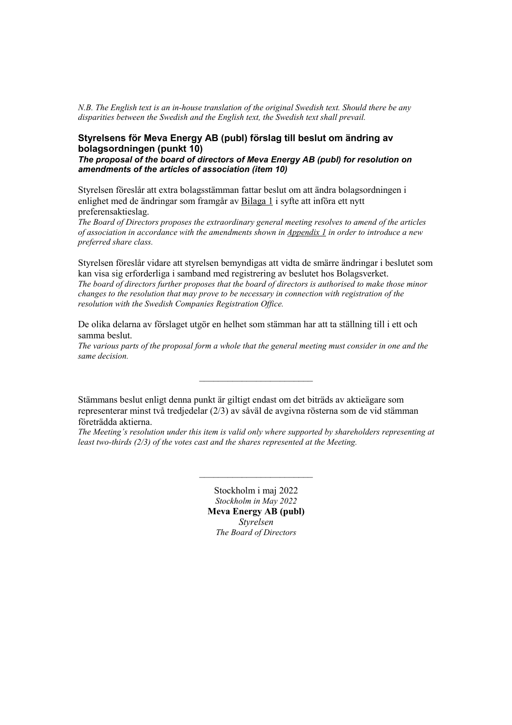*N.B. The English text is an in-house translation of the original Swedish text. Should there be any disparities between the Swedish and the English text, the Swedish text shall prevail.*

#### **Styrelsens för Meva Energy AB (publ) förslag till beslut om ändring av bolagsordningen (punkt 10)**

*The proposal of the board of directors of Meva Energy AB (publ) for resolution on amendments of the articles of association (item 10)*

Styrelsen föreslår att extra bolagsstämman fattar beslut om att ändra bolagsordningen i enlighet med de ändringar som framgår av Bilaga 1 i syfte att införa ett nytt preferensaktieslag.

*The Board of Directors proposes the extraordinary general meeting resolves to amend of the articles of association in accordance with the amendments shown in Appendix 1 in order to introduce a new preferred share class.* 

Styrelsen föreslår vidare att styrelsen bemyndigas att vidta de smärre ändringar i beslutet som kan visa sig erforderliga i samband med registrering av beslutet hos Bolagsverket. *The board of directors further proposes that the board of directors is authorised to make those minor changes to the resolution that may prove to be necessary in connection with registration of the resolution with the Swedish Companies Registration Office.* 

De olika delarna av förslaget utgör en helhet som stämman har att ta ställning till i ett och samma beslut.

*The various parts of the proposal form a whole that the general meeting must consider in one and the same decision.*

 $\mathcal{L}_\text{max}$ 

Stämmans beslut enligt denna punkt är giltigt endast om det biträds av aktieägare som representerar minst två tredjedelar (2/3) av såväl de avgivna rösterna som de vid stämman företrädda aktierna.

*The Meeting's resolution under this item is valid only where supported by shareholders representing at least two-thirds (2/3) of the votes cast and the shares represented at the Meeting.* 

 $\mathcal{L}_\text{max}$ 

Stockholm i maj 2022 *Stockholm in May 2022* **Meva Energy AB (publ)** *Styrelsen The Board of Directors*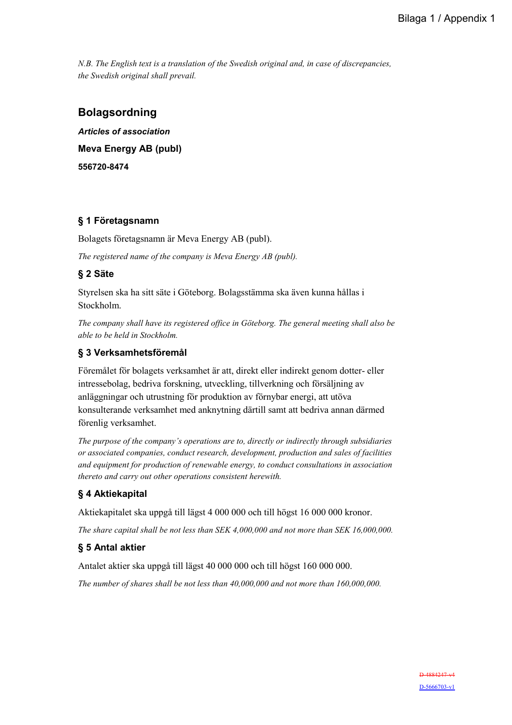*N.B. The English text is a translation of the Swedish original and, in case of discrepancies, the Swedish original shall prevail.*

# **Bolagsordning**

*Articles of association*  **Meva Energy AB (publ) 556720-8474** 

## **§ 1 Företagsnamn**

Bolagets företagsnamn är Meva Energy AB (publ).

*The registered name of the company is Meva Energy AB (publ).* 

# **§ 2 Säte**

Styrelsen ska ha sitt säte i Göteborg. Bolagsstämma ska även kunna hållas i Stockholm.

*The company shall have its registered office in Göteborg. The general meeting shall also be able to be held in Stockholm.* 

## **§ 3 Verksamhetsföremål**

Föremålet för bolagets verksamhet är att, direkt eller indirekt genom dotter- eller intressebolag, bedriva forskning, utveckling, tillverkning och försäljning av anläggningar och utrustning för produktion av förnybar energi, att utöva konsulterande verksamhet med anknytning därtill samt att bedriva annan därmed förenlig verksamhet.

*The purpose of the company's operations are to, directly or indirectly through subsidiaries or associated companies, conduct research, development, production and sales of facilities and equipment for production of renewable energy, to conduct consultations in association thereto and carry out other operations consistent herewith.* 

# **§ 4 Aktiekapital**

Aktiekapitalet ska uppgå till lägst 4 000 000 och till högst 16 000 000 kronor.

*The share capital shall be not less than SEK 4,000,000 and not more than SEK 16,000,000.* 

### **§ 5 Antal aktier**

Antalet aktier ska uppgå till lägst 40 000 000 och till högst 160 000 000.

*The number of shares shall be not less than 40,000,000 and not more than 160,000,000.*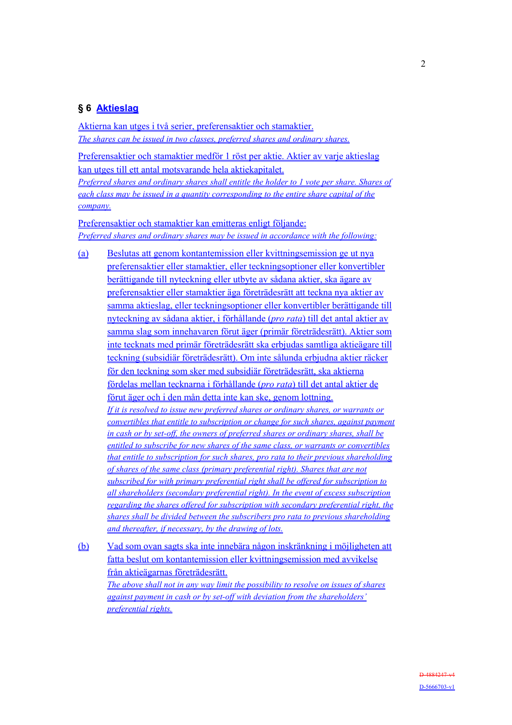### **§ 6 Aktieslag**

Aktierna kan utges i två serier, preferensaktier och stamaktier. *The shares can be issued in two classes, preferred shares and ordinary shares.*

Preferensaktier och stamaktier medför 1 röst per aktie. Aktier av varje aktieslag kan utges till ett antal motsvarande hela aktiekapitalet.

*Preferred shares and ordinary shares shall entitle the holder to 1 vote per share. Shares of each class may be issued in a quantity corresponding to the entire share capital of the company.*

Preferensaktier och stamaktier kan emitteras enligt följande: *Preferred shares and ordinary shares may be issued in accordance with the following:*

(a) Beslutas att genom kontantemission eller kvittningsemission ge ut nya preferensaktier eller stamaktier, eller teckningsoptioner eller konvertibler berättigande till nyteckning eller utbyte av sådana aktier, ska ägare av preferensaktier eller stamaktier äga företrädesrätt att teckna nya aktier av samma aktieslag, eller teckningsoptioner eller konvertibler berättigande till nyteckning av sådana aktier, i förhållande (*pro rata*) till det antal aktier av samma slag som innehavaren förut äger (primär företrädesrätt). Aktier som inte tecknats med primär företrädesrätt ska erbjudas samtliga aktieägare till teckning (subsidiär företrädesrätt). Om inte sålunda erbjudna aktier räcker för den teckning som sker med subsidiär företrädesrätt, ska aktierna fördelas mellan tecknarna i förhållande (*pro rata*) till det antal aktier de förut äger och i den mån detta inte kan ske, genom lottning. *If it is resolved to issue new preferred shares or ordinary shares, or warrants or convertibles that entitle to subscription or change for such shares, against payment in cash or by set-off, the owners of preferred shares or ordinary shares, shall be entitled to subscribe for new shares of the same class, or warrants or convertibles that entitle to subscription for such shares, pro rata to their previous shareholding of shares of the same class (primary preferential right). Shares that are not subscribed for with primary preferential right shall be offered for subscription to all shareholders (secondary preferential right). In the event of excess subscription regarding the shares offered for subscription with secondary preferential right, the shares shall be divided between the subscribers pro rata to previous shareholding and thereafter, if necessary, by the drawing of lots.*

(b) Vad som ovan sagts ska inte innebära någon inskränkning i möjligheten att fatta beslut om kontantemission eller kvittningsemission med avvikelse från aktieägarnas företrädesrätt. *The above shall not in any way limit the possibility to resolve on issues of shares against payment in cash or by set-off with deviation from the shareholders' preferential rights.*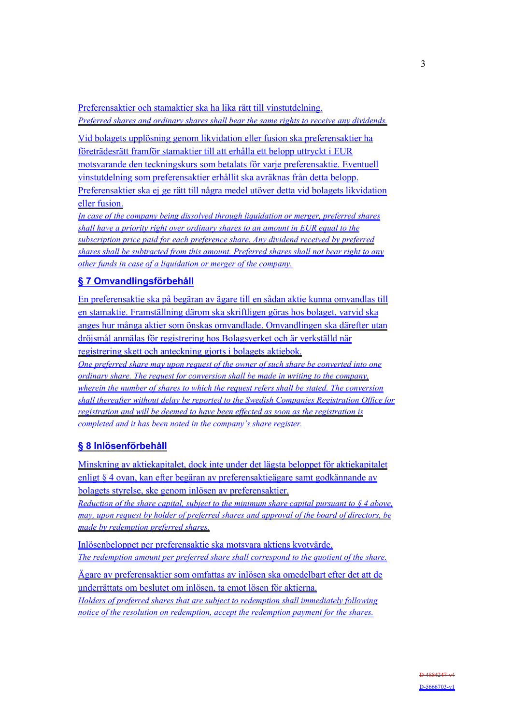Preferensaktier och stamaktier ska ha lika rätt till vinstutdelning. *Preferred shares and ordinary shares shall bear the same rights to receive any dividends.*

Vid bolagets upplösning genom likvidation eller fusion ska preferensaktier ha företrädesrätt framför stamaktier till att erhålla ett belopp uttryckt i EUR motsvarande den teckningskurs som betalats för varje preferensaktie. Eventuell vinstutdelning som preferensaktier erhållit ska avräknas från detta belopp. Preferensaktier ska ej ge rätt till några medel utöver detta vid bolagets likvidation eller fusion.

*In case of the company being dissolved through liquidation or merger, preferred shares shall have a priority right over ordinary shares to an amount in EUR equal to the subscription price paid for each preference share. Any dividend received by preferred shares shall be subtracted from this amount. Preferred shares shall not bear right to any other funds in case of a liquidation or merger of the company.*

# **§ 7 Omvandlingsförbehåll**

En preferensaktie ska på begäran av ägare till en sådan aktie kunna omvandlas till en stamaktie. Framställning därom ska skriftligen göras hos bolaget, varvid ska anges hur många aktier som önskas omvandlade. Omvandlingen ska därefter utan dröjsmål anmälas för registrering hos Bolagsverket och är verkställd när registrering skett och anteckning gjorts i bolagets aktiebok. *One preferred share may upon request of the owner of such share be converted into one ordinary share. The request for conversion shall be made in writing to the company, wherein the number of shares to which the request refers shall be stated. The conversion shall thereafter without delay be reported to the Swedish Companies Registration Office for registration and will be deemed to have been effected as soon as the registration is completed and it has been noted in the company's share register.*

# **§ 8 Inlösenförbehåll**

Minskning av aktiekapitalet, dock inte under det lägsta beloppet för aktiekapitalet enligt § 4 ovan, kan efter begäran av preferensaktieägare samt godkännande av bolagets styrelse, ske genom inlösen av preferensaktier.

*Reduction of the share capital, subject to the minimum share capital pursuant to § 4 above, may, upon request by holder of preferred shares and approval of the board of directors, be made by redemption preferred shares.* 

Inlösenbeloppet per preferensaktie ska motsvara aktiens kvotvärde. *The redemption amount per preferred share shall correspond to the quotient of the share.*

Ägare av preferensaktier som omfattas av inlösen ska omedelbart efter det att de underrättats om beslutet om inlösen, ta emot lösen för aktierna. *Holders of preferred shares that are subject to redemption shall immediately following notice of the resolution on redemption, accept the redemption payment for the shares.*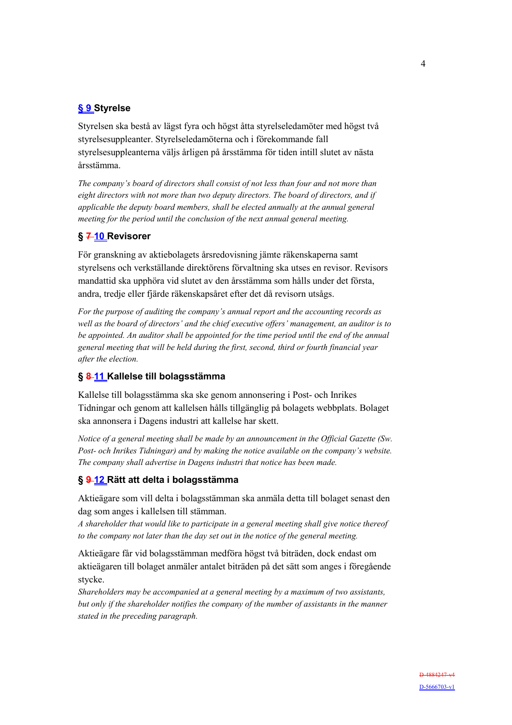# **§ 9 Styrelse**

Styrelsen ska bestå av lägst fyra och högst åtta styrelseledamöter med högst två styrelsesuppleanter. Styrelseledamöterna och i förekommande fall styrelsesuppleanterna väljs årligen på årsstämma för tiden intill slutet av nästa årsstämma.

*The company's board of directors shall consist of not less than four and not more than eight directors with not more than two deputy directors. The board of directors, and if applicable the deputy board members, shall be elected annually at the annual general meeting for the period until the conclusion of the next annual general meeting.* 

#### **§ 7 10 Revisorer**

För granskning av aktiebolagets årsredovisning jämte räkenskaperna samt styrelsens och verkställande direktörens förvaltning ska utses en revisor. Revisors mandattid ska upphöra vid slutet av den årsstämma som hålls under det första, andra, tredje eller fjärde räkenskapsåret efter det då revisorn utsågs.

*For the purpose of auditing the company's annual report and the accounting records as well as the board of directors' and the chief executive offers' management, an auditor is to be appointed. An auditor shall be appointed for the time period until the end of the annual general meeting that will be held during the first, second, third or fourth financial year after the election.* 

### **§ 8 11 Kallelse till bolagsstämma**

Kallelse till bolagsstämma ska ske genom annonsering i Post- och Inrikes Tidningar och genom att kallelsen hålls tillgänglig på bolagets webbplats. Bolaget ska annonsera i Dagens industri att kallelse har skett.

*Notice of a general meeting shall be made by an announcement in the Official Gazette (Sw. Post- och Inrikes Tidningar) and by making the notice available on the company's website. The company shall advertise in Dagens industri that notice has been made.* 

#### **§ 9 12 Rätt att delta i bolagsstämma**

Aktieägare som vill delta i bolagsstämman ska anmäla detta till bolaget senast den dag som anges i kallelsen till stämman.

*A shareholder that would like to participate in a general meeting shall give notice thereof to the company not later than the day set out in the notice of the general meeting.* 

Aktieägare får vid bolagsstämman medföra högst två biträden, dock endast om aktieägaren till bolaget anmäler antalet biträden på det sätt som anges i föregående stycke.

*Shareholders may be accompanied at a general meeting by a maximum of two assistants, but only if the shareholder notifies the company of the number of assistants in the manner stated in the preceding paragraph.*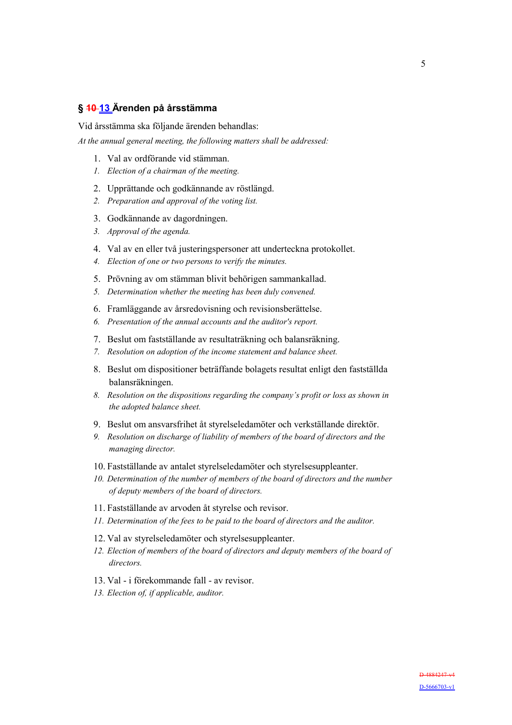### **§ 10 13 Ärenden på årsstämma**

Vid årsstämma ska följande ärenden behandlas:

*At the annual general meeting, the following matters shall be addressed:* 

- 1. Val av ordförande vid stämman.
- *1. Election of a chairman of the meeting.*
- 2. Upprättande och godkännande av röstlängd.
- *2. Preparation and approval of the voting list.*
- 3. Godkännande av dagordningen.
- *3. Approval of the agenda.*
- 4. Val av en eller två justeringspersoner att underteckna protokollet.
- *4. Election of one or two persons to verify the minutes.*
- 5. Prövning av om stämman blivit behörigen sammankallad.
- *5. Determination whether the meeting has been duly convened.*
- 6. Framläggande av årsredovisning och revisionsberättelse.
- *6. Presentation of the annual accounts and the auditor's report.*
- 7. Beslut om fastställande av resultaträkning och balansräkning.
- *7. Resolution on adoption of the income statement and balance sheet.*
- 8. Beslut om dispositioner beträffande bolagets resultat enligt den fastställda balansräkningen.
- *8. Resolution on the dispositions regarding the company's profit or loss as shown in the adopted balance sheet.*
- 9. Beslut om ansvarsfrihet åt styrelseledamöter och verkställande direktör.
- *9. Resolution on discharge of liability of members of the board of directors and the managing director.*
- 10. Fastställande av antalet styrelseledamöter och styrelsesuppleanter.
- *10. Determination of the number of members of the board of directors and the number of deputy members of the board of directors.*
- 11. Fastställande av arvoden åt styrelse och revisor.
- *11. Determination of the fees to be paid to the board of directors and the auditor.*
- 12. Val av styrelseledamöter och styrelsesuppleanter.
- *12. Election of members of the board of directors and deputy members of the board of directors.*
- 13. Val i förekommande fall av revisor.
- *13. Election of, if applicable, auditor.*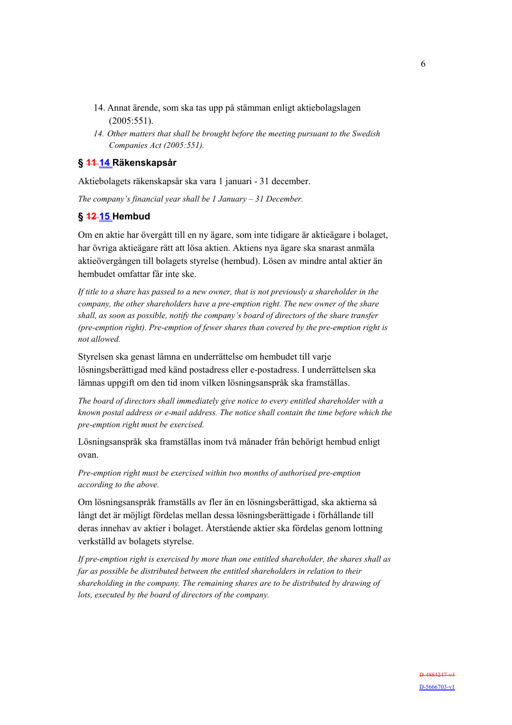- 14. Annat ärende, som ska tas upp på stämman enligt aktiebolagslagen (2005:551).
- *14. Other matters that shall be brought before the meeting pursuant to the Swedish Companies Act (2005:551).*

#### **§ 11 14 Räkenskapsår**

Aktiebolagets räkenskapsår ska vara 1 januari - 31 december.

*The company's financial year shall be 1 January – 31 December.* 

### **§ 12 15 Hembud**

Om en aktie har övergått till en ny ägare, som inte tidigare är aktieägare i bolaget, har övriga aktieägare rätt att lösa aktien. Aktiens nya ägare ska snarast anmäla aktieövergången till bolagets styrelse (hembud). Lösen av mindre antal aktier än hembudet omfattar får inte ske.

*If title to a share has passed to a new owner, that is not previously a shareholder in the company, the other shareholders have a pre-emption right. The new owner of the share shall, as soon as possible, notify the company's board of directors of the share transfer (pre-emption right). Pre-emption of fewer shares than covered by the pre-emption right is not allowed.* 

Styrelsen ska genast lämna en underrättelse om hembudet till varje lösningsberättigad med känd postadress eller e-postadress. I underrättelsen ska lämnas uppgift om den tid inom vilken lösningsanspråk ska framställas.

*The board of directors shall immediately give notice to every entitled shareholder with a known postal address or e-mail address. The notice shall contain the time before which the pre-emption right must be exercised.* 

Lösningsanspråk ska framställas inom två månader från behörigt hembud enligt ovan.

*Pre-emption right must be exercised within two months of authorised pre-emption according to the above.* 

Om lösningsanspråk framställs av fler än en lösningsberättigad, ska aktierna så långt det är möjligt fördelas mellan dessa lösningsberättigade i förhållande till deras innehav av aktier i bolaget. Återstående aktier ska fördelas genom lottning verkställd av bolagets styrelse.

*If pre-emption right is exercised by more than one entitled shareholder, the shares shall as far as possible be distributed between the entitled shareholders in relation to their shareholding in the company. The remaining shares are to be distributed by drawing of lots, executed by the board of directors of the company.*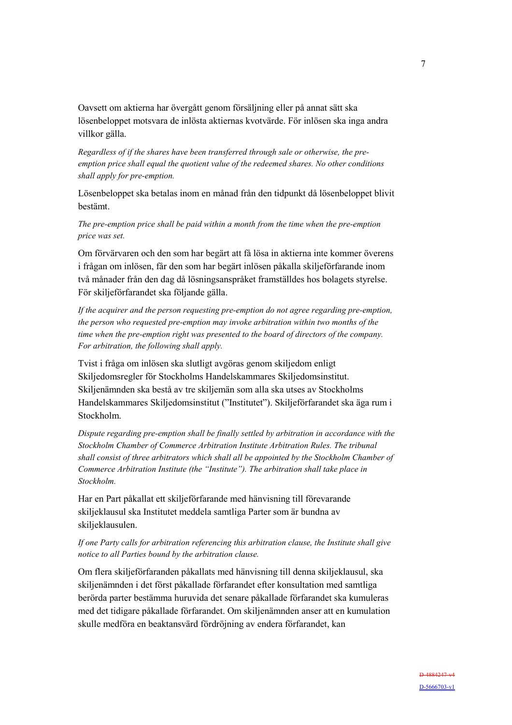Oavsett om aktierna har övergått genom försäljning eller på annat sätt ska lösenbeloppet motsvara de inlösta aktiernas kvotvärde. För inlösen ska inga andra villkor gälla.

*Regardless of if the shares have been transferred through sale or otherwise, the preemption price shall equal the quotient value of the redeemed shares. No other conditions shall apply for pre-emption.* 

Lösenbeloppet ska betalas inom en månad från den tidpunkt då lösenbeloppet blivit bestämt.

*The pre-emption price shall be paid within a month from the time when the pre-emption price was set.* 

Om förvärvaren och den som har begärt att få lösa in aktierna inte kommer överens i frågan om inlösen, får den som har begärt inlösen påkalla skiljeförfarande inom två månader från den dag då lösningsanspråket framställdes hos bolagets styrelse. För skiljeförfarandet ska följande gälla.

*If the acquirer and the person requesting pre-emption do not agree regarding pre-emption, the person who requested pre-emption may invoke arbitration within two months of the time when the pre-emption right was presented to the board of directors of the company. For arbitration, the following shall apply.* 

Tvist i fråga om inlösen ska slutligt avgöras genom skiljedom enligt Skiljedomsregler för Stockholms Handelskammares Skiljedomsinstitut. Skiljenämnden ska bestå av tre skiljemän som alla ska utses av Stockholms Handelskammares Skiljedomsinstitut ("Institutet"). Skiljeförfarandet ska äga rum i Stockholm.

*Dispute regarding pre-emption shall be finally settled by arbitration in accordance with the Stockholm Chamber of Commerce Arbitration Institute Arbitration Rules. The tribunal shall consist of three arbitrators which shall all be appointed by the Stockholm Chamber of Commerce Arbitration Institute (the "Institute"). The arbitration shall take place in Stockholm.* 

Har en Part påkallat ett skiljeförfarande med hänvisning till förevarande skiljeklausul ska Institutet meddela samtliga Parter som är bundna av skiljeklausulen.

#### *If one Party calls for arbitration referencing this arbitration clause, the Institute shall give notice to all Parties bound by the arbitration clause.*

Om flera skiljeförfaranden påkallats med hänvisning till denna skiljeklausul, ska skiljenämnden i det först påkallade förfarandet efter konsultation med samtliga berörda parter bestämma huruvida det senare påkallade förfarandet ska kumuleras med det tidigare påkallade förfarandet. Om skiljenämnden anser att en kumulation skulle medföra en beaktansvärd fördröjning av endera förfarandet, kan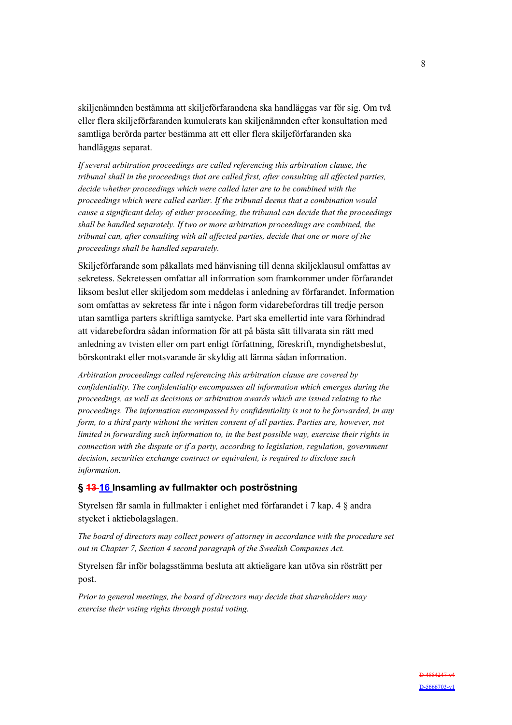skiljenämnden bestämma att skiljeförfarandena ska handläggas var för sig. Om två eller flera skiljeförfaranden kumulerats kan skiljenämnden efter konsultation med samtliga berörda parter bestämma att ett eller flera skiljeförfaranden ska handläggas separat.

*If several arbitration proceedings are called referencing this arbitration clause, the tribunal shall in the proceedings that are called first, after consulting all affected parties, decide whether proceedings which were called later are to be combined with the proceedings which were called earlier. If the tribunal deems that a combination would cause a significant delay of either proceeding, the tribunal can decide that the proceedings shall be handled separately. If two or more arbitration proceedings are combined, the tribunal can, after consulting with all affected parties, decide that one or more of the proceedings shall be handled separately.* 

Skiljeförfarande som påkallats med hänvisning till denna skiljeklausul omfattas av sekretess. Sekretessen omfattar all information som framkommer under förfarandet liksom beslut eller skiljedom som meddelas i anledning av förfarandet. Information som omfattas av sekretess får inte i någon form vidarebefordras till tredje person utan samtliga parters skriftliga samtycke. Part ska emellertid inte vara förhindrad att vidarebefordra sådan information för att på bästa sätt tillvarata sin rätt med anledning av tvisten eller om part enligt författning, föreskrift, myndighetsbeslut, börskontrakt eller motsvarande är skyldig att lämna sådan information.

*Arbitration proceedings called referencing this arbitration clause are covered by confidentiality. The confidentiality encompasses all information which emerges during the proceedings, as well as decisions or arbitration awards which are issued relating to the proceedings. The information encompassed by confidentiality is not to be forwarded, in any form, to a third party without the written consent of all parties. Parties are, however, not limited in forwarding such information to, in the best possible way, exercise their rights in connection with the dispute or if a party, according to legislation, regulation, government decision, securities exchange contract or equivalent, is required to disclose such information.* 

#### **§ 13 16 Insamling av fullmakter och poströstning**

Styrelsen får samla in fullmakter i enlighet med förfarandet i 7 kap. 4 § andra stycket i aktiebolagslagen.

*The board of directors may collect powers of attorney in accordance with the procedure set out in Chapter 7, Section 4 second paragraph of the Swedish Companies Act.* 

Styrelsen får inför bolagsstämma besluta att aktieägare kan utöva sin rösträtt per post.

*Prior to general meetings, the board of directors may decide that shareholders may exercise their voting rights through postal voting.*